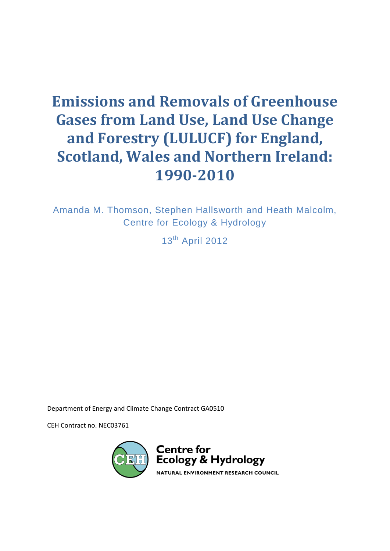# **Emissions and Removals of Greenhouse Gases from Land Use, Land Use Change and Forestry (LULUCF) for England, Scotland, Wales and Northern Ireland: 1990-2010**

Amanda M. Thomson, Stephen Hallsworth and Heath Malcolm, Centre for Ecology & Hydrology

13<sup>th</sup> April 2012

Department of Energy and Climate Change Contract GA0510

CEH Contract no. NEC03761

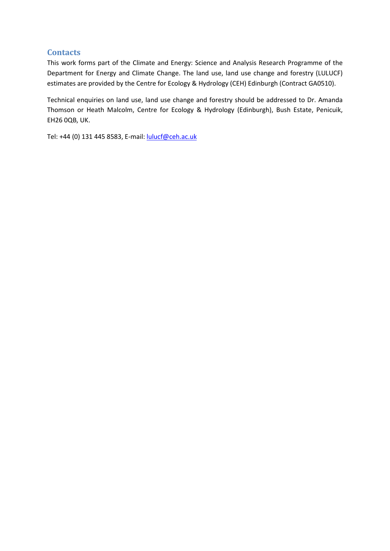## **Contacts**

This work forms part of the Climate and Energy: Science and Analysis Research Programme of the Department for Energy and Climate Change. The land use, land use change and forestry (LULUCF) estimates are provided by the Centre for Ecology & Hydrology (CEH) Edinburgh (Contract GA0510).

Technical enquiries on land use, land use change and forestry should be addressed to Dr. Amanda Thomson or Heath Malcolm, Centre for Ecology & Hydrology (Edinburgh), Bush Estate, Penicuik, EH26 0QB, UK.

Tel: +44 (0) 131 445 8583, E-mail: [lulucf@ceh.ac.uk](mailto:lulucf@ceh.ac.uk)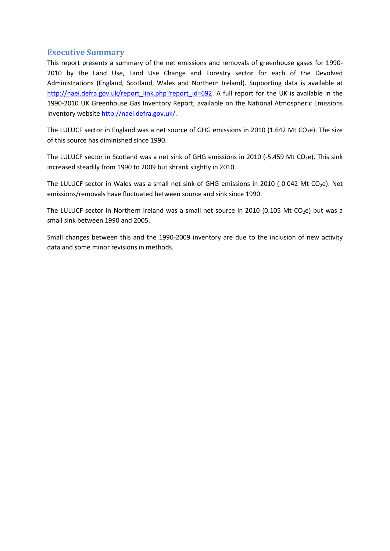#### **Executive Summary**

This report presents a summary of the net emissions and removals of greenhouse gases for 1990- 2010 by the Land Use, Land Use Change and Forestry sector for each of the Devolved Administrations (England, Scotland, Wales and Northern Ireland). Supporting data is available at [http://naei.defra.gov.uk/report\\_link.php?report\\_id=692.](http://naei.defra.gov.uk/report_link.php?report_id=692) A full report for the UK is available in the 1990-2010 UK Greenhouse Gas Inventory Report, available on the National Atmospheric Emissions Inventory website [http://naei.defra.gov.uk/.](http://naei.defra.gov.uk/)

The LULUCF sector in England was a net source of GHG emissions in 2010 (1.642 Mt CO<sub>2</sub>e). The size of this source has diminished since 1990.

The LULUCF sector in Scotland was a net sink of GHG emissions in 2010 (-5.459 Mt CO<sub>2</sub>e). This sink increased steadily from 1990 to 2009 but shrank slightly in 2010.

The LULUCF sector in Wales was a small net sink of GHG emissions in 2010 (-0.042 Mt  $CO<sub>2</sub>e$ ). Net emissions/removals have fluctuated between source and sink since 1990.

The LULUCF sector in Northern Ireland was a small net source in 2010 (0.105 Mt CO<sub>2</sub>e) but was a small sink between 1990 and 2005.

Small changes between this and the 1990-2009 inventory are due to the inclusion of new activity data and some minor revisions in methods.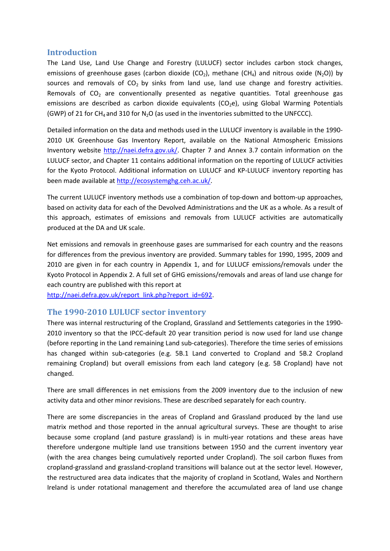#### **Introduction**

The Land Use, Land Use Change and Forestry (LULUCF) sector includes carbon stock changes, emissions of greenhouse gases (carbon dioxide (CO<sub>2</sub>), methane (CH<sub>4</sub>) and nitrous oxide (N<sub>2</sub>O)) by sources and removals of  $CO<sub>2</sub>$  by sinks from land use, land use change and forestry activities. Removals of  $CO<sub>2</sub>$  are conventionally presented as negative quantities. Total greenhouse gas emissions are described as carbon dioxide equivalents ( $CO<sub>2</sub>e$ ), using Global Warming Potentials (GWP) of 21 for CH<sub>4</sub> and 310 for N<sub>2</sub>O (as used in the inventories submitted to the UNFCCC).

Detailed information on the data and methods used in the LULUCF inventory is available in the 1990- 2010 UK Greenhouse Gas Inventory Report, available on the National Atmospheric Emissions Inventory website [http://naei.defra.gov.uk/.](http://naei.defra.gov.uk/) Chapter 7 and Annex 3.7 contain information on the LULUCF sector, and Chapter 11 contains additional information on the reporting of LULUCF activities for the Kyoto Protocol. Additional information on LULUCF and KP-LULUCF inventory reporting has been made available at [http://ecosystemghg.ceh.ac.uk/.](http://ecosystemghg.ceh.ac.uk/)

The current LULUCF inventory methods use a combination of top-down and bottom-up approaches, based on activity data for each of the Devolved Administrations and the UK as a whole. As a result of this approach, estimates of emissions and removals from LULUCF activities are automatically produced at the DA and UK scale.

Net emissions and removals in greenhouse gases are summarised for each country and the reasons for differences from the previous inventory are provided. Summary tables for 1990, 1995, 2009 and 2010 are given in for each country in Appendix 1, and for LULUCF emissions/removals under the Kyoto Protocol in Appendix 2. A full set of GHG emissions/removals and areas of land use change for each country are published with this report at

[http://naei.defra.gov.uk/report\\_link.php?report\\_id=692.](http://naei.defra.gov.uk/report_link.php?report_id=692)

#### **The 1990-2010 LULUCF sector inventory**

There was internal restructuring of the Cropland, Grassland and Settlements categories in the 1990- 2010 inventory so that the IPCC-default 20 year transition period is now used for land use change (before reporting in the Land remaining Land sub-categories). Therefore the time series of emissions has changed within sub-categories (e.g. 5B.1 Land converted to Cropland and 5B.2 Cropland remaining Cropland) but overall emissions from each land category (e.g. 5B Cropland) have not changed.

There are small differences in net emissions from the 2009 inventory due to the inclusion of new activity data and other minor revisions. These are described separately for each country.

There are some discrepancies in the areas of Cropland and Grassland produced by the land use matrix method and those reported in the annual agricultural surveys. These are thought to arise because some cropland (and pasture grassland) is in multi-year rotations and these areas have therefore undergone multiple land use transitions between 1950 and the current inventory year (with the area changes being cumulatively reported under Cropland). The soil carbon fluxes from cropland-grassland and grassland-cropland transitions will balance out at the sector level. However, the restructured area data indicates that the majority of cropland in Scotland, Wales and Northern Ireland is under rotational management and therefore the accumulated area of land use change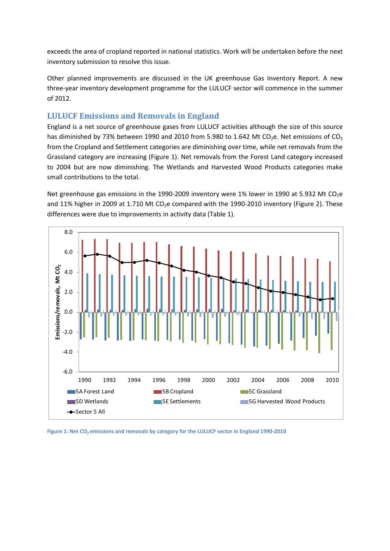exceeds the area of cropland reported in national statistics. Work will be undertaken before the next inventory submission to resolve this issue.

Other planned improvements are discussed in the UK greenhouse Gas Inventory Report. A new three-year inventory development programme for the LULUCF sector will commence in the summer of 2012.

## **LULUCF Emissions and Removals in England**

England is a net source of greenhouse gases from LULUCF activities although the size of this source has diminished by 73% between 1990 and 2010 from 5.980 to 1.642 Mt CO<sub>2</sub>e. Net emissions of CO<sub>2</sub> from the Cropland and Settlement categories are diminishing over time, while net removals from the Grassland category are increasing [\(Figure 1\)](#page-4-0). Net removals from the Forest Land category increased to 2004 but are now diminishing. The Wetlands and Harvested Wood Products categories make small contributions to the total.

Net greenhouse gas emissions in the 1990-2009 inventory were 1% lower in 1990 at 5.932 Mt CO<sub>2</sub>e and 11% higher in 2009 at 1.710 Mt  $CO<sub>2</sub>e$  compared with the 1990-2010 inventory [\(Figure 2\)](#page-5-0). These differences were due to improvements in activity data [\(Table 1\)](#page-5-1).



<span id="page-4-0"></span>Figure 1: Net CO<sub>2</sub> emissions and removals by category for the LULUCF sector in England 1990-2010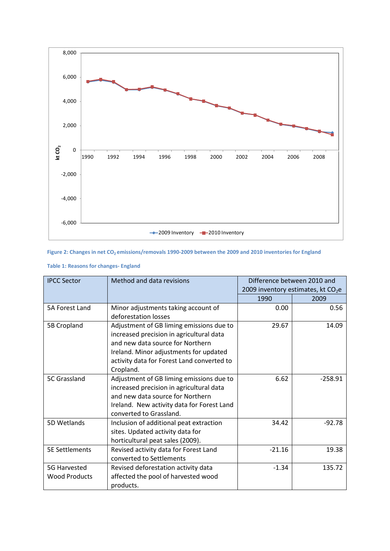

#### <span id="page-5-0"></span>Figure 2: Changes in net CO<sub>2</sub> emissions/removals 1990-2009 between the 2009 and 2010 inventories for England

| <b>IPCC Sector</b>    | Method and data revisions                  | Difference between 2010 and |                                     |
|-----------------------|--------------------------------------------|-----------------------------|-------------------------------------|
|                       |                                            |                             | 2009 inventory estimates, kt $CO2e$ |
|                       |                                            | 1990                        | 2009                                |
| 5A Forest Land        | Minor adjustments taking account of        | 0.00                        | 0.56                                |
|                       | deforestation losses                       |                             |                                     |
| 5B Cropland           | Adjustment of GB liming emissions due to   | 29.67                       | 14.09                               |
|                       | increased precision in agricultural data   |                             |                                     |
|                       | and new data source for Northern           |                             |                                     |
|                       | Ireland. Minor adjustments for updated     |                             |                                     |
|                       | activity data for Forest Land converted to |                             |                                     |
|                       | Cropland.                                  |                             |                                     |
| 5C Grassland          | Adjustment of GB liming emissions due to   | 6.62                        | $-258.91$                           |
|                       | increased precision in agricultural data   |                             |                                     |
|                       | and new data source for Northern           |                             |                                     |
|                       | Ireland. New activity data for Forest Land |                             |                                     |
|                       | converted to Grassland.                    |                             |                                     |
| 5D Wetlands           | Inclusion of additional peat extraction    | 34.42                       | $-92.78$                            |
|                       | sites. Updated activity data for           |                             |                                     |
|                       | horticultural peat sales (2009).           |                             |                                     |
| <b>5E Settlements</b> | Revised activity data for Forest Land      | $-21.16$                    | 19.38                               |
|                       | converted to Settlements                   |                             |                                     |
| 5G Harvested          | Revised deforestation activity data        | $-1.34$                     | 135.72                              |
| <b>Wood Products</b>  | affected the pool of harvested wood        |                             |                                     |
|                       | products.                                  |                             |                                     |

#### <span id="page-5-1"></span>**Table 1: Reasons for changes- England**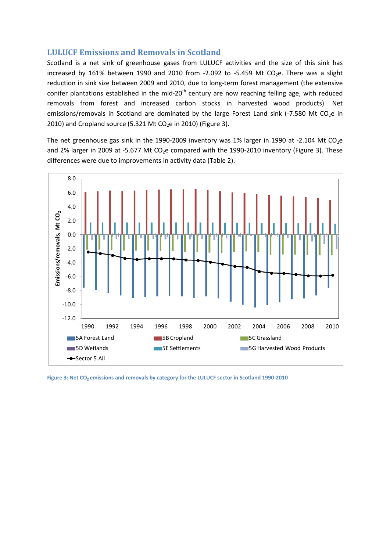#### **LULUCF Emissions and Removals in Scotland**

Scotland is a net sink of greenhouse gases from LULUCF activities and the size of this sink has increased by 161% between 1990 and 2010 from -2.092 to -5.459 Mt CO<sub>2</sub>e. There was a slight reduction in sink size between 2009 and 2010, due to long-term forest management (the extensive conifer plantations established in the mid-20<sup>th</sup> century are now reaching felling age, with reduced removals from forest and increased carbon stocks in harvested wood products). Net emissions/removals in Scotland are dominated by the large Forest Land sink (-7.580 Mt CO<sub>2</sub>e in 2010) and Cropland source (5.321 Mt CO<sub>2</sub>e in 2010) [\(Figure 3\)](#page-6-0).

The net greenhouse gas sink in the 1990-2009 inventory was 1% larger in 1990 at -2.104 Mt CO<sub>2</sub>e and 2% larger in 2009 at -5.677 Mt  $CO<sub>2</sub>e$  compared with the 1990-2010 inventory [\(Figure 3\)](#page-6-0). These differences were due to improvements in activity data [\(Table 2\)](#page-7-0).



<span id="page-6-0"></span>Figure 3: Net CO<sub>2</sub> emissions and removals by category for the LULUCF sector in Scotland 1990-2010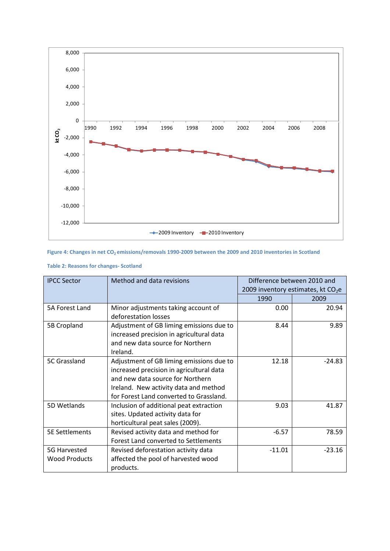

#### Figure 4: Changes in net CO<sub>2</sub> emissions/removals 1990-2009 between the 2009 and 2010 inventories in Scotland

| <b>IPCC Sector</b>    | Method and data revisions                | Difference between 2010 and<br>2009 inventory estimates, kt $CO2e$ |          |
|-----------------------|------------------------------------------|--------------------------------------------------------------------|----------|
|                       |                                          |                                                                    |          |
|                       |                                          | 1990                                                               | 2009     |
| 5A Forest Land        | Minor adjustments taking account of      | 0.00                                                               | 20.94    |
|                       | deforestation losses                     |                                                                    |          |
| 5B Cropland           | Adjustment of GB liming emissions due to | 8.44                                                               | 9.89     |
|                       | increased precision in agricultural data |                                                                    |          |
|                       | and new data source for Northern         |                                                                    |          |
|                       | Ireland.                                 |                                                                    |          |
| 5C Grassland          | Adjustment of GB liming emissions due to | 12.18                                                              | $-24.83$ |
|                       | increased precision in agricultural data |                                                                    |          |
|                       | and new data source for Northern         |                                                                    |          |
|                       | Ireland. New activity data and method    |                                                                    |          |
|                       | for Forest Land converted to Grassland.  |                                                                    |          |
| 5D Wetlands           | Inclusion of additional peat extraction  | 9.03                                                               | 41.87    |
|                       | sites. Updated activity data for         |                                                                    |          |
|                       | horticultural peat sales (2009).         |                                                                    |          |
| <b>5E Settlements</b> | Revised activity data and method for     | $-6.57$                                                            | 78.59    |
|                       | Forest Land converted to Settlements     |                                                                    |          |
| 5G Harvested          | Revised deforestation activity data      | $-11.01$                                                           | $-23.16$ |
| <b>Wood Products</b>  | affected the pool of harvested wood      |                                                                    |          |
|                       | products.                                |                                                                    |          |

#### <span id="page-7-0"></span>**Table 2: Reasons for changes- Scotland**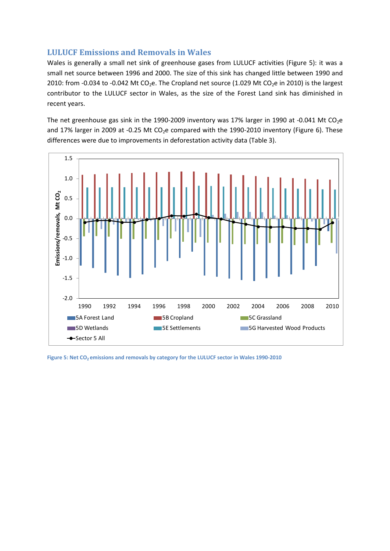## **LULUCF Emissions and Removals in Wales**

Wales is generally a small net sink of greenhouse gases from LULUCF activities [\(Figure 5\)](#page-8-0): it was a small net source between 1996 and 2000. The size of this sink has changed little between 1990 and 2010: from -0.034 to -0.042 Mt CO<sub>2</sub>e. The Cropland net source (1.029 Mt CO<sub>2</sub>e in 2010) is the largest contributor to the LULUCF sector in Wales, as the size of the Forest Land sink has diminished in recent years.

The net greenhouse gas sink in the 1990-2009 inventory was 17% larger in 1990 at -0.041 Mt  $CO<sub>2</sub>e$ and 17% larger in 2009 at -0.25 Mt  $CO<sub>2</sub>e$  compared with the 1990-2010 inventory [\(Figure 6\)](#page-9-0). These differences were due to improvements in deforestation activity data [\(Table 3\)](#page-9-1).



<span id="page-8-0"></span>Figure 5: Net CO<sub>2</sub> emissions and removals by category for the LULUCF sector in Wales 1990-2010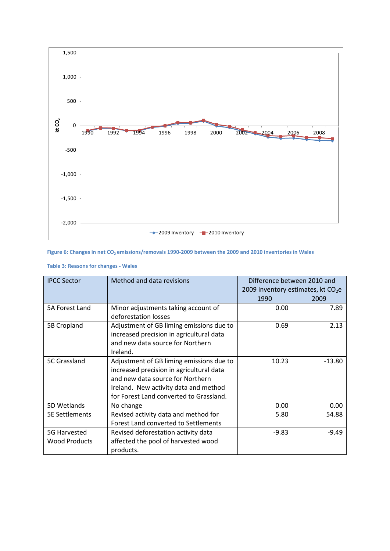

#### <span id="page-9-0"></span>**Figure 6: Changes in net CO2 emissions/removals 1990-2009 between the 2009 and 2010 inventories in Wales**

| <b>IPCC Sector</b>                   | Method and data revisions                                                                                                                                                                                    | Difference between 2010 and<br>2009 inventory estimates, kt $CO2e$ |          |
|--------------------------------------|--------------------------------------------------------------------------------------------------------------------------------------------------------------------------------------------------------------|--------------------------------------------------------------------|----------|
|                                      |                                                                                                                                                                                                              | 1990                                                               | 2009     |
| 5A Forest Land                       | Minor adjustments taking account of<br>deforestation losses                                                                                                                                                  | 0.00                                                               | 7.89     |
| 5B Cropland                          | Adjustment of GB liming emissions due to<br>increased precision in agricultural data<br>and new data source for Northern<br>Ireland.                                                                         | 0.69                                                               | 2.13     |
| 5C Grassland                         | Adjustment of GB liming emissions due to<br>increased precision in agricultural data<br>and new data source for Northern<br>Ireland. New activity data and method<br>for Forest Land converted to Grassland. | 10.23                                                              | $-13.80$ |
| 5D Wetlands                          | No change                                                                                                                                                                                                    | 0.00                                                               | 0.00     |
| <b>5E Settlements</b>                | Revised activity data and method for<br>Forest Land converted to Settlements                                                                                                                                 | 5.80                                                               | 54.88    |
| 5G Harvested<br><b>Wood Products</b> | Revised deforestation activity data<br>affected the pool of harvested wood<br>products.                                                                                                                      | $-9.83$                                                            | $-9.49$  |

#### <span id="page-9-1"></span>**Table 3: Reasons for changes - Wales**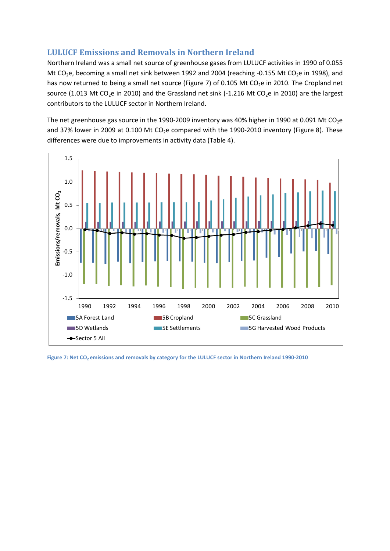## **LULUCF Emissions and Removals in Northern Ireland**

Northern Ireland was a small net source of greenhouse gases from LULUCF activities in 1990 of 0.055 Mt CO<sub>2</sub>e, becoming a small net sink between 1992 and 2004 (reaching -0.155 Mt CO<sub>2</sub>e in 1998), and has now returned to being a small net source [\(Figure 7\)](#page-10-0) of 0.105 Mt  $CO<sub>2</sub>e$  in 2010. The Cropland net source (1.013 Mt CO<sub>2</sub>e in 2010) and the Grassland net sink (-1.216 Mt CO<sub>2</sub>e in 2010) are the largest contributors to the LULUCF sector in Northern Ireland.

The net greenhouse gas source in the 1990-2009 inventory was 40% higher in 1990 at 0.091 Mt CO<sub>2</sub>e and 37% lower in 2009 at 0.100 Mt  $CO<sub>2</sub>e$  compared with the 1990-2010 inventory [\(Figure 8\)](#page-11-0). These differences were due to improvements in activity data [\(Table 4\)](#page-11-1).



<span id="page-10-0"></span>Figure 7: Net CO<sub>2</sub> emissions and removals by category for the LULUCF sector in Northern Ireland 1990-2010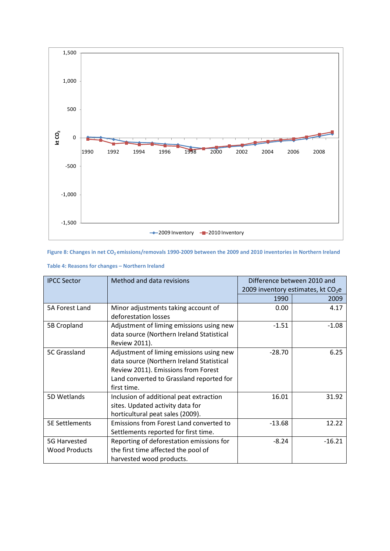

<span id="page-11-0"></span>**Figure 8: Changes in net CO2 emissions/removals 1990-2009 between the 2009 and 2010 inventories in Northern Ireland**

| <b>IPCC Sector</b>    | Method and data revisions                 | Difference between 2010 and |                                     |
|-----------------------|-------------------------------------------|-----------------------------|-------------------------------------|
|                       |                                           |                             | 2009 inventory estimates, kt $CO2e$ |
|                       |                                           | 1990                        | 2009                                |
| 5A Forest Land        | Minor adjustments taking account of       | 0.00                        | 4.17                                |
|                       | deforestation losses                      |                             |                                     |
| 5B Cropland           | Adjustment of liming emissions using new  | $-1.51$                     | $-1.08$                             |
|                       | data source (Northern Ireland Statistical |                             |                                     |
|                       | Review 2011).                             |                             |                                     |
| 5C Grassland          | Adjustment of liming emissions using new  | $-28.70$                    | 6.25                                |
|                       | data source (Northern Ireland Statistical |                             |                                     |
|                       | Review 2011). Emissions from Forest       |                             |                                     |
|                       | Land converted to Grassland reported for  |                             |                                     |
|                       | first time.                               |                             |                                     |
| 5D Wetlands           | Inclusion of additional peat extraction   | 16.01                       | 31.92                               |
|                       | sites. Updated activity data for          |                             |                                     |
|                       | horticultural peat sales (2009).          |                             |                                     |
| <b>5E Settlements</b> | Emissions from Forest Land converted to   | $-13.68$                    | 12.22                               |
|                       | Settlements reported for first time.      |                             |                                     |
| 5G Harvested          | Reporting of deforestation emissions for  | $-8.24$                     | $-16.21$                            |
| <b>Wood Products</b>  | the first time affected the pool of       |                             |                                     |
|                       | harvested wood products.                  |                             |                                     |

<span id="page-11-1"></span>

|  | Table 4: Reasons for changes - Northern Ireland |  |
|--|-------------------------------------------------|--|
|  |                                                 |  |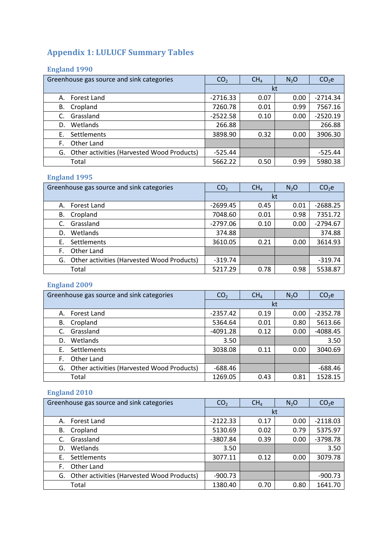# **Appendix 1: LULUCF Summary Tables**

## **England 1990**

| Greenhouse gas source and sink categories        | CO <sub>2</sub> | CH <sub>4</sub> | $N_2O$ | CO <sub>2</sub> e |
|--------------------------------------------------|-----------------|-----------------|--------|-------------------|
|                                                  |                 | kt              |        |                   |
| Forest Land<br>А.                                | $-2716.33$      | 0.07            | 0.00   | $-2714.34$        |
| Cropland<br>В.                                   | 7260.78         | 0.01            | 0.99   | 7567.16           |
| Grassland<br>C.                                  | $-2522.58$      | 0.10            | 0.00   | $-2520.19$        |
| Wetlands<br>D.                                   | 266.88          |                 |        | 266.88            |
| Settlements<br>Е.                                | 3898.90         | 0.32            | 0.00   | 3906.30           |
| Other Land<br>F.                                 |                 |                 |        |                   |
| Other activities (Harvested Wood Products)<br>G. | $-525.44$       |                 |        | $-525.44$         |
| Total                                            | 5662.22         | 0.50            | 0.99   | 5980.38           |

## **England 1995**

| Greenhouse gas source and sink categories        | CO <sub>2</sub> | CH <sub>4</sub> | $N_2O$ | CO <sub>2</sub> e |
|--------------------------------------------------|-----------------|-----------------|--------|-------------------|
|                                                  |                 |                 | kt     |                   |
| Forest Land<br>А.                                | $-2699.45$      | 0.45            | 0.01   | $-2688.25$        |
| Cropland<br>В.                                   | 7048.60         | 0.01            | 0.98   | 7351.72           |
| Grassland<br>C.                                  | $-2797.06$      | 0.10            | 0.00   | $-2794.67$        |
| Wetlands<br>D.                                   | 374.88          |                 |        | 374.88            |
| Settlements<br>Е.                                | 3610.05         | 0.21            | 0.00   | 3614.93           |
| Other Land<br>F.                                 |                 |                 |        |                   |
| Other activities (Harvested Wood Products)<br>G. | $-319.74$       |                 |        | $-319.74$         |
| Total                                            | 5217.29         | 0.78            | 0.98   | 5538.87           |

# **England 2009**

| Greenhouse gas source and sink categories        | CO <sub>2</sub> | CH <sub>4</sub> | $N_2$ O | CO <sub>2</sub> e |
|--------------------------------------------------|-----------------|-----------------|---------|-------------------|
|                                                  |                 |                 | kt      |                   |
| Forest Land<br>А.                                | $-2357.42$      | 0.19            | 0.00    | $-2352.78$        |
| Cropland<br>В.                                   | 5364.64         | 0.01            | 0.80    | 5613.66           |
| Grassland<br>C.                                  | $-4091.28$      | 0.12            | 0.00    | $-4088.45$        |
| Wetlands<br>D.                                   | 3.50            |                 |         | 3.50              |
| Settlements<br>Е.                                | 3038.08         | 0.11            | 0.00    | 3040.69           |
| Other Land<br>F.                                 |                 |                 |         |                   |
| Other activities (Harvested Wood Products)<br>G. | $-688.46$       |                 |         | $-688.46$         |
| Total                                            | 1269.05         | 0.43            | 0.81    | 1528.15           |

# **England 2010**

| Greenhouse gas source and sink categories     | CO <sub>2</sub> | CH <sub>4</sub> | N <sub>2</sub> O | CO <sub>2</sub> e |
|-----------------------------------------------|-----------------|-----------------|------------------|-------------------|
|                                               | kt              |                 |                  |                   |
| Forest Land<br>А.                             | $-2122.33$      | 0.17            | 0.00             | $-2118.03$        |
| Cropland<br>В.                                | 5130.69         | 0.02            | 0.79             | 5375.97           |
| Grassland                                     | $-3807.84$      | 0.39            | 0.00             | $-3798.78$        |
| Wetlands<br>D.                                | 3.50            |                 |                  | 3.50              |
| <b>Settlements</b><br>Е.                      | 3077.11         | 0.12            | 0.00             | 3079.78           |
| Other Land<br>F.                              |                 |                 |                  |                   |
| G. Other activities (Harvested Wood Products) | $-900.73$       |                 |                  | $-900.73$         |
| Total                                         | 1380.40         | 0.70            | 0.80             | 1641.70           |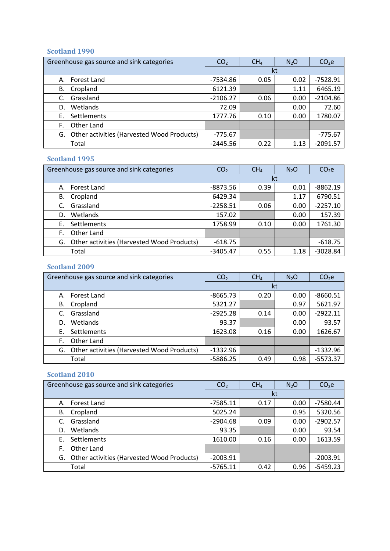#### **Scotland 1990**

| Greenhouse gas source and sink categories        | CO <sub>2</sub> | CH <sub>4</sub> | N <sub>2</sub> O | CO <sub>2</sub> e |
|--------------------------------------------------|-----------------|-----------------|------------------|-------------------|
|                                                  |                 |                 | kt               |                   |
| Forest Land<br>А.                                | -7534.86        | 0.05            | 0.02             | $-7528.91$        |
| Cropland<br>В.                                   | 6121.39         |                 | 1.11             | 6465.19           |
| Grassland<br>C.                                  | $-2106.27$      | 0.06            | 0.00             | $-2104.86$        |
| Wetlands<br>D.                                   | 72.09           |                 | 0.00             | 72.60             |
| Settlements<br>F.                                | 1777.76         | 0.10            | 0.00             | 1780.07           |
| Other Land<br>F.                                 |                 |                 |                  |                   |
| Other activities (Harvested Wood Products)<br>G. | $-775.67$       |                 |                  | $-775.67$         |
| Total                                            | $-2445.56$      | 0.22            | 1.13             | $-2091.57$        |

#### **Scotland 1995**

| Greenhouse gas source and sink categories        | CO <sub>2</sub> | CH <sub>4</sub> | N <sub>2</sub> O | CO <sub>2</sub> e |
|--------------------------------------------------|-----------------|-----------------|------------------|-------------------|
|                                                  | kt              |                 |                  |                   |
| Forest Land<br>А.                                | $-8873.56$      | 0.39            | 0.01             | $-8862.19$        |
| Cropland<br>В.                                   | 6429.34         |                 | 1.17             | 6790.51           |
| Grassland<br>C.                                  | $-2258.51$      | 0.06            | 0.00             | $-2257.10$        |
| Wetlands<br>D.                                   | 157.02          |                 | 0.00             | 157.39            |
| Settlements<br>Е.                                | 1758.99         | 0.10            | 0.00             | 1761.30           |
| Other Land<br>F.                                 |                 |                 |                  |                   |
| Other activities (Harvested Wood Products)<br>G. | $-618.75$       |                 |                  | $-618.75$         |
| Total                                            | $-3405.47$      | 0.55            | 1.18             | $-3028.84$        |

#### **Scotland 2009**

| Greenhouse gas source and sink categories        | CO <sub>2</sub> | CH <sub>4</sub> | $N_2O$ | CO <sub>2</sub> e |
|--------------------------------------------------|-----------------|-----------------|--------|-------------------|
|                                                  | kt              |                 |        |                   |
| Forest Land<br>А.                                | $-8665.73$      | 0.20            | 0.00   | $-8660.51$        |
| Cropland<br>В.                                   | 5321.27         |                 | 0.97   | 5621.97           |
| Grassland                                        | $-2925.28$      | 0.14            | 0.00   | $-2922.11$        |
| Wetlands<br>D.                                   | 93.37           |                 | 0.00   | 93.57             |
| Settlements<br>Е.                                | 1623.08         | 0.16            | 0.00   | 1626.67           |
| Other Land<br>F.                                 |                 |                 |        |                   |
| Other activities (Harvested Wood Products)<br>G. | $-1332.96$      |                 |        | $-1332.96$        |
| Total                                            | -5886.25        | 0.49            | 0.98   | $-5573.37$        |

#### **Scotland 2010**

| Greenhouse gas source and sink categories        | CO <sub>2</sub> | CH <sub>4</sub> | $N_2O$ | CO <sub>2</sub> e |
|--------------------------------------------------|-----------------|-----------------|--------|-------------------|
|                                                  |                 |                 | kt     |                   |
| Forest Land<br>А.                                | $-7585.11$      | 0.17            | 0.00   | -7580.44          |
| Cropland<br>В.                                   | 5025.24         |                 | 0.95   | 5320.56           |
| Grassland<br>C.                                  | $-2904.68$      | 0.09            | 0.00   | $-2902.57$        |
| Wetlands<br>D.                                   | 93.35           |                 | 0.00   | 93.54             |
| Settlements<br>Ε.                                | 1610.00         | 0.16            | 0.00   | 1613.59           |
| Other Land<br>F.                                 |                 |                 |        |                   |
| Other activities (Harvested Wood Products)<br>G. | $-2003.91$      |                 |        | $-2003.91$        |
| Total                                            | $-5765.11$      | 0.42            | 0.96   | $-5459.23$        |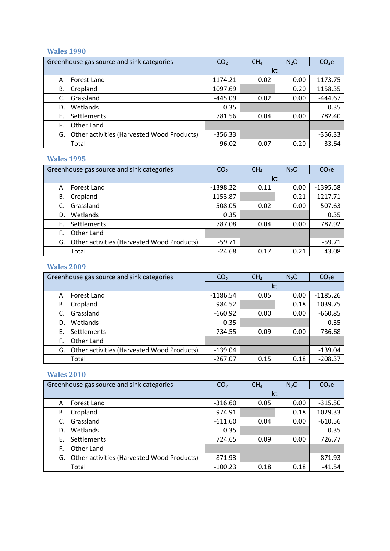#### **Wales 1990**

| Greenhouse gas source and sink categories        | CO <sub>2</sub> | CH <sub>4</sub> | N <sub>2</sub> O | CO <sub>2</sub> e |
|--------------------------------------------------|-----------------|-----------------|------------------|-------------------|
|                                                  |                 |                 | kt               |                   |
| Forest Land<br>А.                                | $-1174.21$      | 0.02            | 0.00             | $-1173.75$        |
| Cropland<br>В.                                   | 1097.69         |                 | 0.20             | 1158.35           |
| Grassland<br>C.                                  | $-445.09$       | 0.02            | 0.00             | $-444.67$         |
| Wetlands<br>D.                                   | 0.35            |                 |                  | 0.35              |
| Settlements<br>Е.                                | 781.56          | 0.04            | 0.00             | 782.40            |
| Other Land<br>F.                                 |                 |                 |                  |                   |
| Other activities (Harvested Wood Products)<br>G. | $-356.33$       |                 |                  | $-356.33$         |
| Total                                            | $-96.02$        | 0.07            | 0.20             | $-33.64$          |

#### **Wales 1995**

| Greenhouse gas source and sink categories        | CO <sub>2</sub> | CH <sub>4</sub> | N <sub>2</sub> O | CO <sub>2</sub> e |
|--------------------------------------------------|-----------------|-----------------|------------------|-------------------|
|                                                  |                 |                 | kt               |                   |
| Forest Land<br>А.                                | $-1398.22$      | 0.11            | 0.00             | $-1395.58$        |
| Cropland<br>В.                                   | 1153.87         |                 | 0.21             | 1217.71           |
| Grassland<br>C.                                  | $-508.05$       | 0.02            | 0.00             | $-507.63$         |
| Wetlands<br>D.                                   | 0.35            |                 |                  | 0.35              |
| Settlements<br>Е.                                | 787.08          | 0.04            | 0.00             | 787.92            |
| Other Land<br>F.                                 |                 |                 |                  |                   |
| Other activities (Harvested Wood Products)<br>G. | $-59.71$        |                 |                  | $-59.71$          |
| Total                                            | $-24.68$        | 0.17            | 0.21             | 43.08             |

#### **Wales 2009**

| Greenhouse gas source and sink categories        | CO <sub>2</sub> | CH <sub>4</sub> | $N_2O$ | CO <sub>2</sub> e |
|--------------------------------------------------|-----------------|-----------------|--------|-------------------|
|                                                  |                 | kt              |        |                   |
| Forest Land<br>А.                                | $-1186.54$      | 0.05            | 0.00   | $-1185.26$        |
| Cropland<br>В.                                   | 984.52          |                 | 0.18   | 1039.75           |
| Grassland                                        | $-660.92$       | 0.00            | 0.00   | $-660.85$         |
| Wetlands<br>D.                                   | 0.35            |                 |        | 0.35              |
| Settlements<br>Е.                                | 734.55          | 0.09            | 0.00   | 736.68            |
| Other Land<br>F.                                 |                 |                 |        |                   |
| Other activities (Harvested Wood Products)<br>G. | $-139.04$       |                 |        | $-139.04$         |
| Total                                            | $-267.07$       | 0.15            | 0.18   | $-208.37$         |

#### **Wales 2010**

| Greenhouse gas source and sink categories        | CO <sub>2</sub> | CH <sub>4</sub> | $N_2O$ | CO <sub>2</sub> e |
|--------------------------------------------------|-----------------|-----------------|--------|-------------------|
|                                                  |                 |                 | kt     |                   |
| Forest Land<br>А.                                | $-316.60$       | 0.05            | 0.00   | $-315.50$         |
| Cropland<br>В.                                   | 974.91          |                 | 0.18   | 1029.33           |
| Grassland                                        | $-611.60$       | 0.04            | 0.00   | $-610.56$         |
| Wetlands<br>D.                                   | 0.35            |                 |        | 0.35              |
| Settlements<br>Ε.                                | 724.65          | 0.09            | 0.00   | 726.77            |
| Other Land<br>F.                                 |                 |                 |        |                   |
| Other activities (Harvested Wood Products)<br>G. | -871.93         |                 |        | $-871.93$         |
| Total                                            | $-100.23$       | 0.18            | 0.18   | $-41.54$          |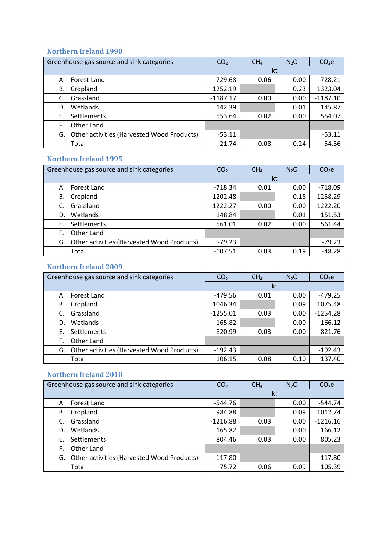#### **Northern Ireland 1990**

| Greenhouse gas source and sink categories        | CO <sub>2</sub> | CH <sub>4</sub> | $N_2O$ | CO <sub>2</sub> e |
|--------------------------------------------------|-----------------|-----------------|--------|-------------------|
|                                                  |                 |                 | kt     |                   |
| Forest Land<br>А.                                | $-729.68$       | 0.06            | 0.00   | $-728.21$         |
| Cropland<br>В.                                   | 1252.19         |                 | 0.23   | 1323.04           |
| Grassland<br>C.                                  | $-1187.17$      | 0.00            | 0.00   | $-1187.10$        |
| Wetlands<br>D.                                   | 142.39          |                 | 0.01   | 145.87            |
| Settlements<br>Е.                                | 553.64          | 0.02            | 0.00   | 554.07            |
| Other Land<br>F.                                 |                 |                 |        |                   |
| Other activities (Harvested Wood Products)<br>G. | $-53.11$        |                 |        | $-53.11$          |
| Total                                            | $-21.74$        | 0.08            | 0.24   | 54.56             |

#### **Northern Ireland 1995**

| Greenhouse gas source and sink categories        | CO <sub>2</sub> | CH <sub>4</sub> | N <sub>2</sub> O | CO <sub>2</sub> e |
|--------------------------------------------------|-----------------|-----------------|------------------|-------------------|
|                                                  |                 | kt              |                  |                   |
| Forest Land<br>А.                                | -718.34         | 0.01            | 0.00             | $-718.09$         |
| Cropland<br>В.                                   | 1202.48         |                 | 0.18             | 1258.29           |
| Grassland<br>C.                                  | $-1222.27$      | 0.00            | 0.00             | $-1222.20$        |
| Wetlands<br>D.                                   | 148.84          |                 | 0.01             | 151.53            |
| Settlements<br>Е.                                | 561.01          | 0.02            | 0.00             | 561.44            |
| Other Land<br>F.                                 |                 |                 |                  |                   |
| Other activities (Harvested Wood Products)<br>G. | $-79.23$        |                 |                  | $-79.23$          |
| Total                                            | $-107.51$       | 0.03            | 0.19             | $-48.28$          |

#### **Northern Ireland 2009**

| Greenhouse gas source and sink categories        | CO <sub>2</sub> | CH <sub>4</sub> | N <sub>2</sub> O | CO <sub>2</sub> e |
|--------------------------------------------------|-----------------|-----------------|------------------|-------------------|
|                                                  |                 |                 | kt               |                   |
| Forest Land<br>А.                                | $-479.56$       | 0.01            | 0.00             | $-479.25$         |
| Cropland<br>В.                                   | 1046.34         |                 | 0.09             | 1075.48           |
| Grassland                                        | $-1255.01$      | 0.03            | 0.00             | $-1254.28$        |
| Wetlands<br>D.                                   | 165.82          |                 | 0.00             | 166.12            |
| Settlements<br>F.                                | 820.99          | 0.03            | 0.00             | 821.76            |
| Other Land<br>F.                                 |                 |                 |                  |                   |
| Other activities (Harvested Wood Products)<br>G. | $-192.43$       |                 |                  | $-192.43$         |
| Total                                            | 106.15          | 0.08            | 0.10             | 137.40            |

## **Northern Ireland 2010**

| Greenhouse gas source and sink categories        | CO <sub>2</sub> | CH <sub>4</sub> | $N_2O$ | CO <sub>2</sub> e |
|--------------------------------------------------|-----------------|-----------------|--------|-------------------|
|                                                  |                 |                 | kt     |                   |
| Forest Land<br>А.                                | $-544.76$       |                 | 0.00   | $-544.74$         |
| Cropland<br>В.                                   | 984.88          |                 | 0.09   | 1012.74           |
| Grassland<br>C.                                  | $-1216.88$      | 0.03            | 0.00   | $-1216.16$        |
| Wetlands<br>D.                                   | 165.82          |                 | 0.00   | 166.12            |
| Settlements<br>Ε.                                | 804.46          | 0.03            | 0.00   | 805.23            |
| Other Land<br>F.                                 |                 |                 |        |                   |
| Other activities (Harvested Wood Products)<br>G. | $-117.80$       |                 |        | $-117.80$         |
| Total                                            | 75.72           | 0.06            | 0.09   | 105.39            |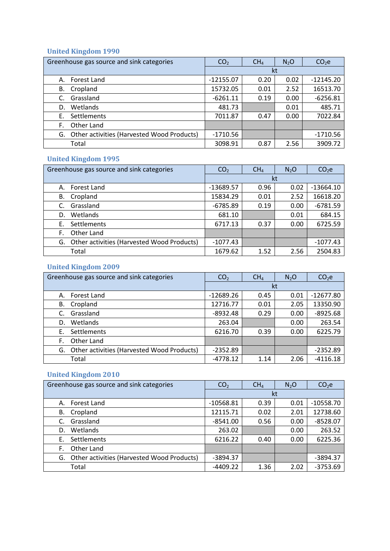# **United Kingdom 1990**

| Greenhouse gas source and sink categories        | CO <sub>2</sub> | CH <sub>4</sub> | N <sub>2</sub> O | CO <sub>2</sub> e |
|--------------------------------------------------|-----------------|-----------------|------------------|-------------------|
|                                                  |                 | kt              |                  |                   |
| Forest Land<br>А.                                | $-12155.07$     | 0.20            | 0.02             | $-12145.20$       |
| Cropland<br>В.                                   | 15732.05        | 0.01            | 2.52             | 16513.70          |
| Grassland<br>C.                                  | $-6261.11$      | 0.19            | 0.00             | $-6256.81$        |
| Wetlands<br>D.                                   | 481.73          |                 | 0.01             | 485.71            |
| Settlements<br>Е.                                | 7011.87         | 0.47            | 0.00             | 7022.84           |
| Other Land<br>F.                                 |                 |                 |                  |                   |
| Other activities (Harvested Wood Products)<br>G. | $-1710.56$      |                 |                  | $-1710.56$        |
| Total                                            | 3098.91         | 0.87            | 2.56             | 3909.72           |

# **United Kingdom 1995**

| Greenhouse gas source and sink categories        | CO <sub>2</sub> | CH <sub>4</sub> | N <sub>2</sub> O | CO <sub>2</sub> e |
|--------------------------------------------------|-----------------|-----------------|------------------|-------------------|
|                                                  |                 |                 | kt               |                   |
| Forest Land<br>А.                                | -13689.57       | 0.96            | 0.02             | $-13664.10$       |
| Cropland<br>В.                                   | 15834.29        | 0.01            | 2.52             | 16618.20          |
| Grassland<br>C.                                  | $-6785.89$      | 0.19            | 0.00             | $-6781.59$        |
| Wetlands<br>D.                                   | 681.10          |                 | 0.01             | 684.15            |
| Settlements<br>Е.                                | 6717.13         | 0.37            | 0.00             | 6725.59           |
| Other Land<br>F.                                 |                 |                 |                  |                   |
| Other activities (Harvested Wood Products)<br>G. | $-1077.43$      |                 |                  | $-1077.43$        |
| Total                                            | 1679.62         | 1.52            | 2.56             | 2504.83           |

# **United Kingdom 2009**

| Greenhouse gas source and sink categories        | CO <sub>2</sub> | CH <sub>4</sub> | $N_2O$ | CO <sub>2</sub> e |
|--------------------------------------------------|-----------------|-----------------|--------|-------------------|
|                                                  |                 |                 | kt     |                   |
| Forest Land<br>А.                                | $-12689.26$     | 0.45            | 0.01   | $-12677.80$       |
| Cropland<br>В.                                   | 12716.77        | 0.01            | 2.05   | 13350.90          |
| Grassland<br>C.                                  | $-8932.48$      | 0.29            | 0.00   | $-8925.68$        |
| Wetlands<br>D.                                   | 263.04          |                 | 0.00   | 263.54            |
| Settlements<br>Е.                                | 6216.70         | 0.39            | 0.00   | 6225.79           |
| Other Land<br>F.                                 |                 |                 |        |                   |
| Other activities (Harvested Wood Products)<br>G. | $-2352.89$      |                 |        | $-2352.89$        |
| Total                                            | -4778.12        | 1.14            | 2.06   | $-4116.18$        |

## **United Kingdom 2010**

| Greenhouse gas source and sink categories        | CO <sub>2</sub> | CH <sub>4</sub> | $N_2O$ | CO <sub>2</sub> e |
|--------------------------------------------------|-----------------|-----------------|--------|-------------------|
|                                                  |                 |                 | kt     |                   |
| Forest Land<br>А.                                | $-10568.81$     | 0.39            | 0.01   | $-10558.70$       |
| Cropland<br>В.                                   | 12115.71        | 0.02            | 2.01   | 12738.60          |
| Grassland<br>C.                                  | $-8541.00$      | 0.56            | 0.00   | $-8528.07$        |
| Wetlands<br>D.                                   | 263.02          |                 | 0.00   | 263.52            |
| Settlements<br>Е.                                | 6216.22         | 0.40            | 0.00   | 6225.36           |
| F.<br>Other Land                                 |                 |                 |        |                   |
| Other activities (Harvested Wood Products)<br>G. | $-3894.37$      |                 |        | $-3894.37$        |
| Total                                            | $-4409.22$      | 1.36            | 2.02   | $-3753.69$        |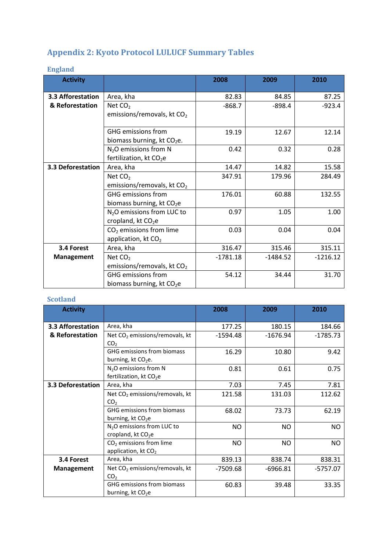# **Appendix 2: Kyoto Protocol LULUCF Summary Tables**

# **England**

| <b>Activity</b>   |                                                                          | 2008       | 2009       | 2010       |
|-------------------|--------------------------------------------------------------------------|------------|------------|------------|
| 3.3 Afforestation | Area, kha                                                                | 82.83      | 84.85      | 87.25      |
| & Reforestation   | Net $CO2$                                                                | $-868.7$   | $-898.4$   | $-923.4$   |
|                   | emissions/removals, kt $CO2$                                             |            |            |            |
|                   | <b>GHG emissions from</b><br>biomass burning, kt CO <sub>2</sub> e.      | 19.19      | 12.67      | 12.14      |
|                   | $N2O$ emissions from N<br>fertilization, kt CO <sub>2</sub> e            | 0.42       | 0.32       | 0.28       |
| 3.3 Deforestation | Area, kha                                                                | 14.47      | 14.82      | 15.58      |
|                   | Net $CO2$                                                                | 347.91     | 179.96     | 284.49     |
|                   | emissions/removals, kt CO <sub>2</sub>                                   |            |            |            |
|                   | <b>GHG emissions from</b>                                                | 176.01     | 60.88      | 132.55     |
|                   | biomass burning, kt CO <sub>2</sub> e                                    |            |            |            |
|                   | N <sub>2</sub> O emissions from LUC to<br>cropland, kt CO <sub>2</sub> e | 0.97       | 1.05       | 1.00       |
|                   | $CO2$ emissions from lime<br>application, kt CO <sub>2</sub>             | 0.03       | 0.04       | 0.04       |
| 3.4 Forest        | Area, kha                                                                | 316.47     | 315.46     | 315.11     |
| Management        | Net $CO2$                                                                | $-1781.18$ | $-1484.52$ | $-1216.12$ |
|                   | emissions/removals, kt $CO2$                                             |            |            |            |
|                   | <b>GHG emissions from</b>                                                | 54.12      | 34.44      | 31.70      |
|                   | biomass burning, kt $CO2e$                                               |            |            |            |

## **Scotland**

| <b>Activity</b>   |                                                                          | 2008       | 2009       | 2010       |
|-------------------|--------------------------------------------------------------------------|------------|------------|------------|
| 3.3 Afforestation | Area, kha                                                                | 177.25     | 180.15     | 184.66     |
| & Reforestation   | Net $CO2$ emissions/removals, kt<br>CO <sub>2</sub>                      | $-1594.48$ | $-1676.94$ | $-1785.73$ |
|                   | GHG emissions from biomass<br>burning, kt $CO2e$ .                       | 16.29      | 10.80      | 9.42       |
|                   | $N2O$ emissions from N<br>fertilization, kt $CO2e$                       | 0.81       | 0.61       | 0.75       |
| 3.3 Deforestation | Area, kha                                                                | 7.03       | 7.45       | 7.81       |
|                   | Net CO <sub>2</sub> emissions/removals, kt<br>CO <sub>2</sub>            | 121.58     | 131.03     | 112.62     |
|                   | <b>GHG emissions from biomass</b><br>burning, kt CO <sub>2</sub> e       | 68.02      | 73.73      | 62.19      |
|                   | N <sub>2</sub> O emissions from LUC to<br>cropland, kt CO <sub>2</sub> e | NO.        | <b>NO</b>  | NO.        |
|                   | $CO2$ emissions from lime<br>application, kt $CO2$                       | NO.        | NO.        | <b>NO</b>  |
| 3.4 Forest        | Area, kha                                                                | 839.13     | 838.74     | 838.31     |
| <b>Management</b> | Net $CO2$ emissions/removals, kt<br>CO <sub>2</sub>                      | $-7509.68$ | $-6966.81$ | $-5757.07$ |
|                   | <b>GHG emissions from biomass</b><br>burning, kt CO <sub>2</sub> e       | 60.83      | 39.48      | 33.35      |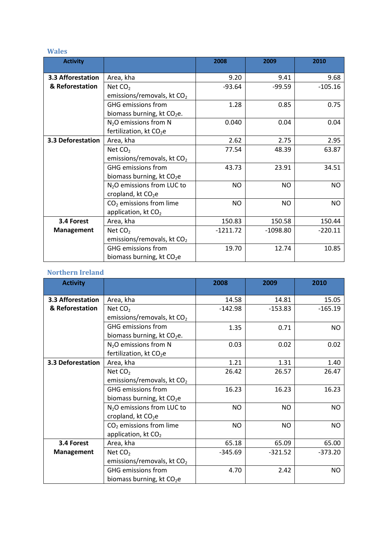#### **Wales**

| <b>Activity</b>   |                                        | 2008       | 2009       | 2010      |
|-------------------|----------------------------------------|------------|------------|-----------|
| 3.3 Afforestation | Area, kha                              | 9.20       | 9.41       | 9.68      |
| & Reforestation   | Net $CO2$                              | $-93.64$   | $-99.59$   | $-105.16$ |
|                   | emissions/removals, kt $CO2$           |            |            |           |
|                   | <b>GHG emissions from</b>              | 1.28       | 0.85       | 0.75      |
|                   | biomass burning, kt $CO2e$ .           |            |            |           |
|                   | $N2O$ emissions from N                 | 0.040      | 0.04       | 0.04      |
|                   | fertilization, kt CO <sub>2</sub> e    |            |            |           |
| 3.3 Deforestation | Area, kha                              | 2.62       | 2.75       | 2.95      |
|                   | Net $CO2$                              | 77.54      | 48.39      | 63.87     |
|                   | emissions/removals, kt $CO2$           |            |            |           |
|                   | <b>GHG</b> emissions from              | 43.73      | 23.91      | 34.51     |
|                   | biomass burning, kt CO <sub>2</sub> e  |            |            |           |
|                   | N <sub>2</sub> O emissions from LUC to | <b>NO</b>  | <b>NO</b>  | <b>NO</b> |
|                   | cropland, kt CO <sub>2</sub> e         |            |            |           |
|                   | $CO2$ emissions from lime              | <b>NO</b>  | <b>NO</b>  | NO.       |
|                   | application, kt $CO2$                  |            |            |           |
| 3.4 Forest        | Area, kha                              | 150.83     | 150.58     | 150.44    |
| Management        | Net $CO2$                              | $-1211.72$ | $-1098.80$ | $-220.11$ |
|                   | emissions/removals, kt CO <sub>2</sub> |            |            |           |
|                   | <b>GHG emissions from</b>              | 19.70      | 12.74      | 10.85     |
|                   | biomass burning, kt $CO2e$             |            |            |           |

## **Northern Ireland**

| <b>Activity</b>   |                                        | 2008      | 2009      | 2010      |
|-------------------|----------------------------------------|-----------|-----------|-----------|
| 3.3 Afforestation | Area, kha                              | 14.58     | 14.81     | 15.05     |
| & Reforestation   | Net CO <sub>2</sub>                    | $-142.98$ | $-153.83$ | $-165.19$ |
|                   | emissions/removals, kt $CO2$           |           |           |           |
|                   | <b>GHG</b> emissions from              | 1.35      | 0.71      | <b>NO</b> |
|                   | biomass burning, kt $CO2e$ .           |           |           |           |
|                   | $N2O$ emissions from N                 | 0.03      | 0.02      | 0.02      |
|                   | fertilization, kt CO <sub>2</sub> e    |           |           |           |
| 3.3 Deforestation | Area, kha                              | 1.21      | 1.31      | 1.40      |
|                   | Net $CO2$                              | 26.42     | 26.57     | 26.47     |
|                   | emissions/removals, kt $CO2$           |           |           |           |
|                   | <b>GHG emissions from</b>              | 16.23     | 16.23     | 16.23     |
|                   | biomass burning, kt CO <sub>2</sub> e  |           |           |           |
|                   | N <sub>2</sub> O emissions from LUC to | NO.       | <b>NO</b> | <b>NO</b> |
|                   | cropland, kt $CO2e$                    |           |           |           |
|                   | $CO2$ emissions from lime              | <b>NO</b> | NO.       | <b>NO</b> |
|                   | application, kt CO <sub>2</sub>        |           |           |           |
| 3.4 Forest        | Area, kha                              | 65.18     | 65.09     | 65.00     |
| <b>Management</b> | Net $CO2$                              | $-345.69$ | $-321.52$ | $-373.20$ |
|                   | emissions/removals, kt $CO2$           |           |           |           |
|                   | <b>GHG emissions from</b>              | 4.70      | 2.42      | <b>NO</b> |
|                   | biomass burning, kt CO <sub>2</sub> e  |           |           |           |